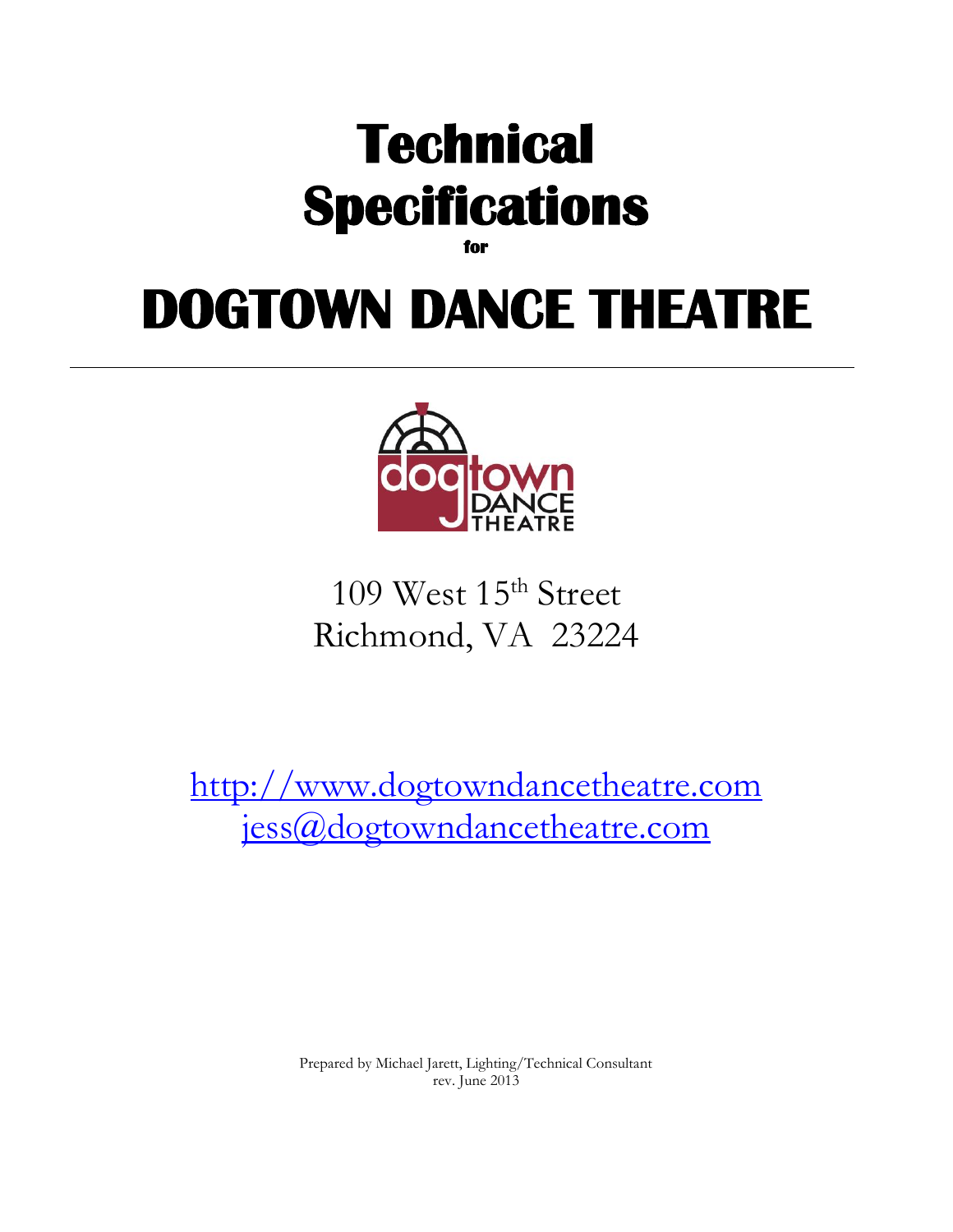

**for** 

# **DOGTOWN DANCE THEATRE**



109 West 15<sup>th</sup> Street Richmond, VA 23224

[http://www.dogtowndancetheatre.com](http://www.dogtowndancetheatre.com/) [jess@dogtowndancetheatre.com](mailto:jess@dogtowndancetheatre.com)

> Prepared by Michael Jarett, Lighting/Technical Consultant rev. June 2013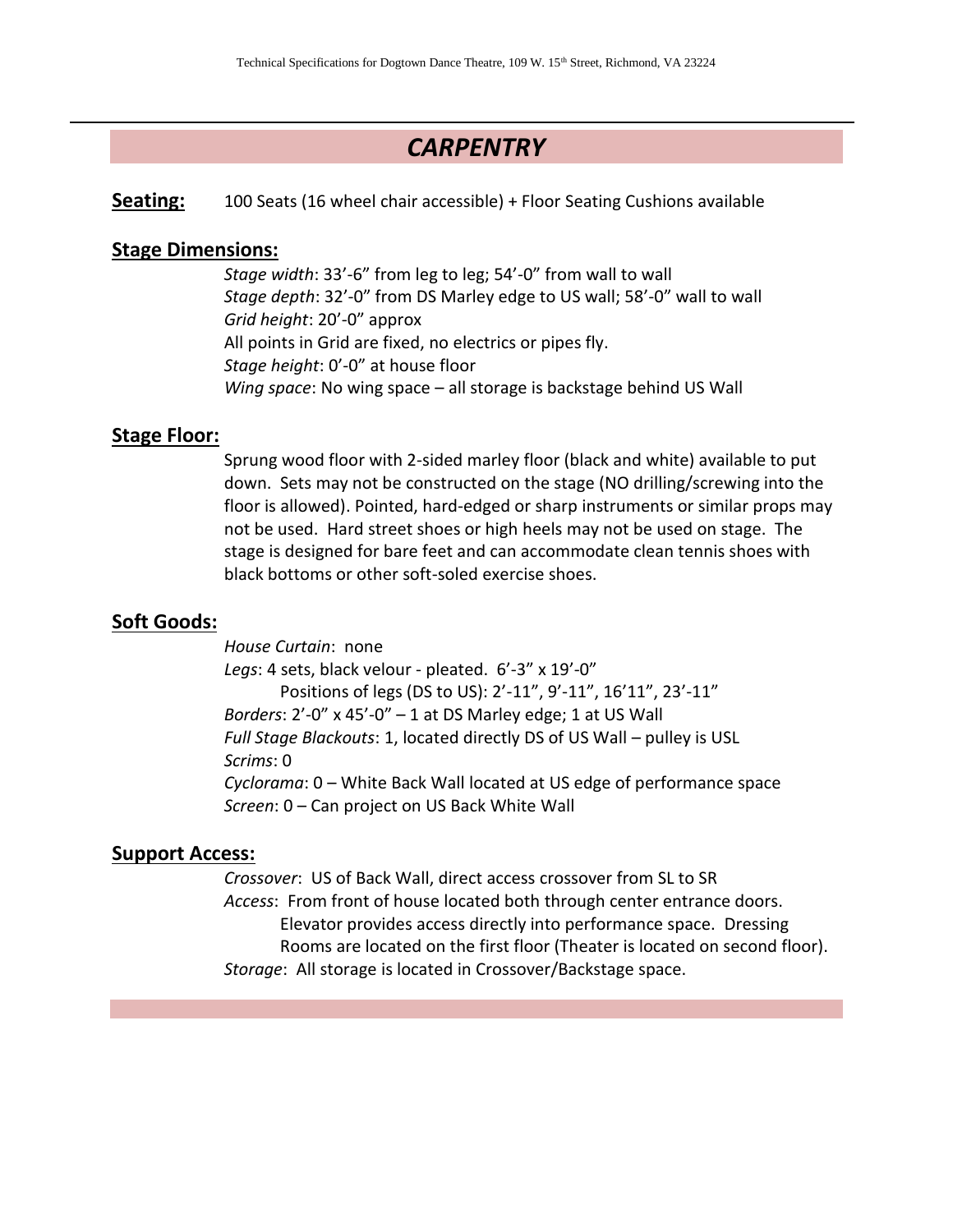## *CARPENTRY*

**Seating:** 100 Seats (16 wheel chair accessible) + Floor Seating Cushions available

#### **Stage Dimensions:**

*Stage width*: 33'-6" from leg to leg; 54'-0" from wall to wall *Stage depth*: 32'-0" from DS Marley edge to US wall; 58'-0" wall to wall *Grid height*: 20'-0" approx All points in Grid are fixed, no electrics or pipes fly. *Stage height*: 0'-0" at house floor *Wing space*: No wing space – all storage is backstage behind US Wall

#### **Stage Floor:**

Sprung wood floor with 2-sided marley floor (black and white) available to put down. Sets may not be constructed on the stage (NO drilling/screwing into the floor is allowed). Pointed, hard-edged or sharp instruments or similar props may not be used. Hard street shoes or high heels may not be used on stage. The stage is designed for bare feet and can accommodate clean tennis shoes with black bottoms or other soft-soled exercise shoes.

#### **Soft Goods:**

*House Curtain*: none *Legs*: 4 sets, black velour - pleated. 6'-3" x 19'-0" Positions of legs (DS to US): 2'-11", 9'-11", 16'11", 23'-11" *Borders*: 2'-0" x 45'-0" – 1 at DS Marley edge; 1 at US Wall *Full Stage Blackouts*: 1, located directly DS of US Wall – pulley is USL *Scrims*: 0 *Cyclorama*: 0 – White Back Wall located at US edge of performance space *Screen*: 0 – Can project on US Back White Wall

#### **Support Access:**

*Crossover*: US of Back Wall, direct access crossover from SL to SR *Access*: From front of house located both through center entrance doors. Elevator provides access directly into performance space. Dressing Rooms are located on the first floor (Theater is located on second floor). *Storage*: All storage is located in Crossover/Backstage space.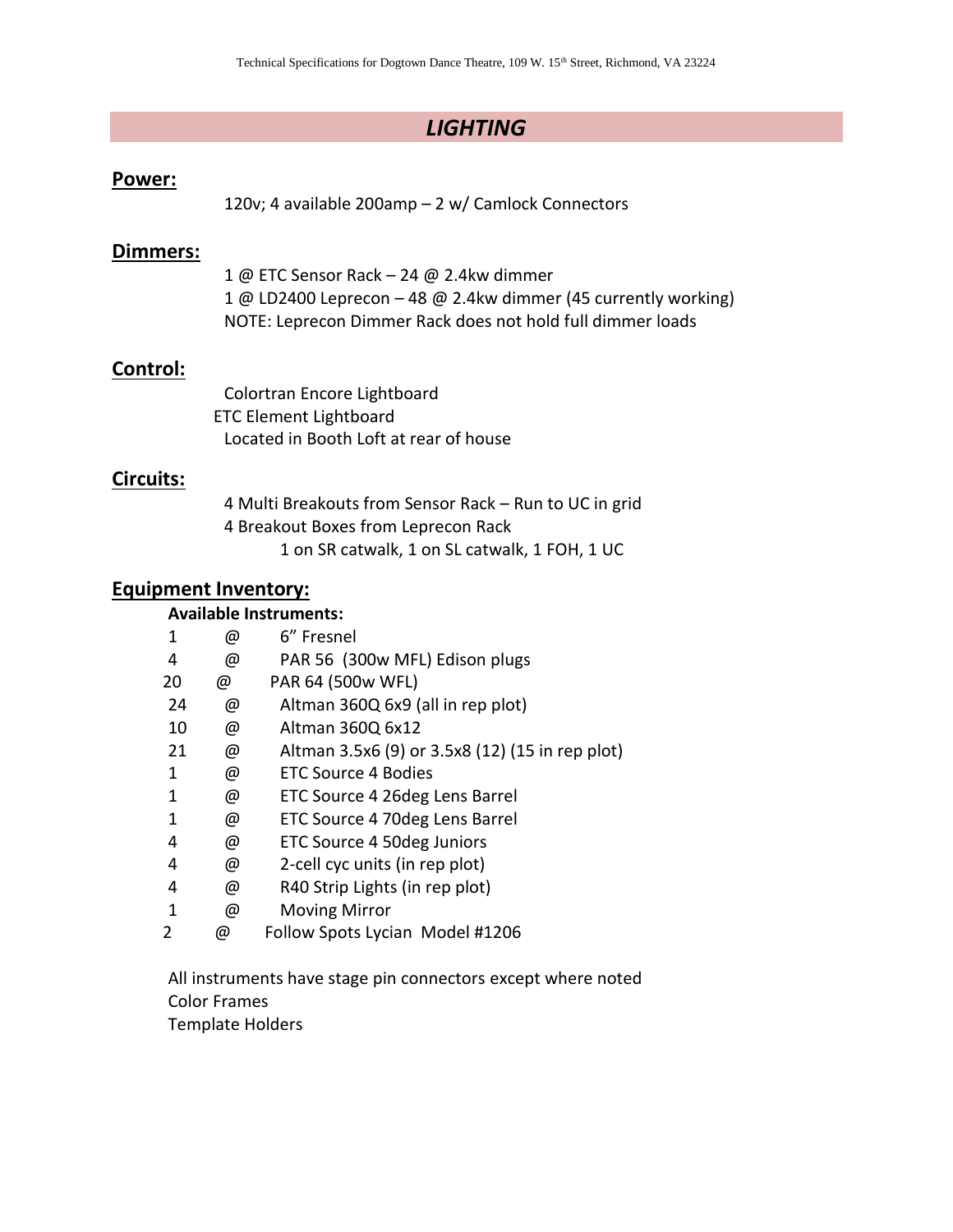## *LIGHTING*

#### **Power:**

120v; 4 available 200amp – 2 w/ Camlock Connectors

#### **Dimmers:**

1 @ ETC Sensor Rack – 24 @ 2.4kw dimmer 1 @ LD2400 Leprecon – 48 @ 2.4kw dimmer (45 currently working) NOTE: Leprecon Dimmer Rack does not hold full dimmer loads

#### **Control:**

Colortran Encore Lightboard ETC Element Lightboard Located in Booth Loft at rear of house

#### **Circuits:**

4 Multi Breakouts from Sensor Rack – Run to UC in grid 4 Breakout Boxes from Leprecon Rack 1 on SR catwalk, 1 on SL catwalk, 1 FOH, 1 UC

#### **Equipment Inventory:**

#### **Available Instruments:**

| 1  | @ | 6" Fresnel                                      |
|----|---|-------------------------------------------------|
| 4  | @ | PAR 56 (300w MFL) Edison plugs                  |
| 20 | @ | PAR 64 (500w WFL)                               |
| 24 | @ | Altman 360Q 6x9 (all in rep plot)               |
| 10 | @ | Altman 360Q 6x12                                |
| 21 | @ | Altman 3.5x6 (9) or 3.5x8 (12) (15 in rep plot) |
| 1  | @ | <b>ETC Source 4 Bodies</b>                      |
| 1  | @ | ETC Source 4 26deg Lens Barrel                  |
| 1  | @ | ETC Source 4 70deg Lens Barrel                  |
| 4  | @ | ETC Source 4 50deg Juniors                      |
| 4  | @ | 2-cell cyc units (in rep plot)                  |
| 4  | @ | R40 Strip Lights (in rep plot)                  |
| 1  | @ | <b>Moving Mirror</b>                            |
| 2  | @ | Follow Spots Lycian Model #1206                 |

All instruments have stage pin connectors except where noted Color Frames

Template Holders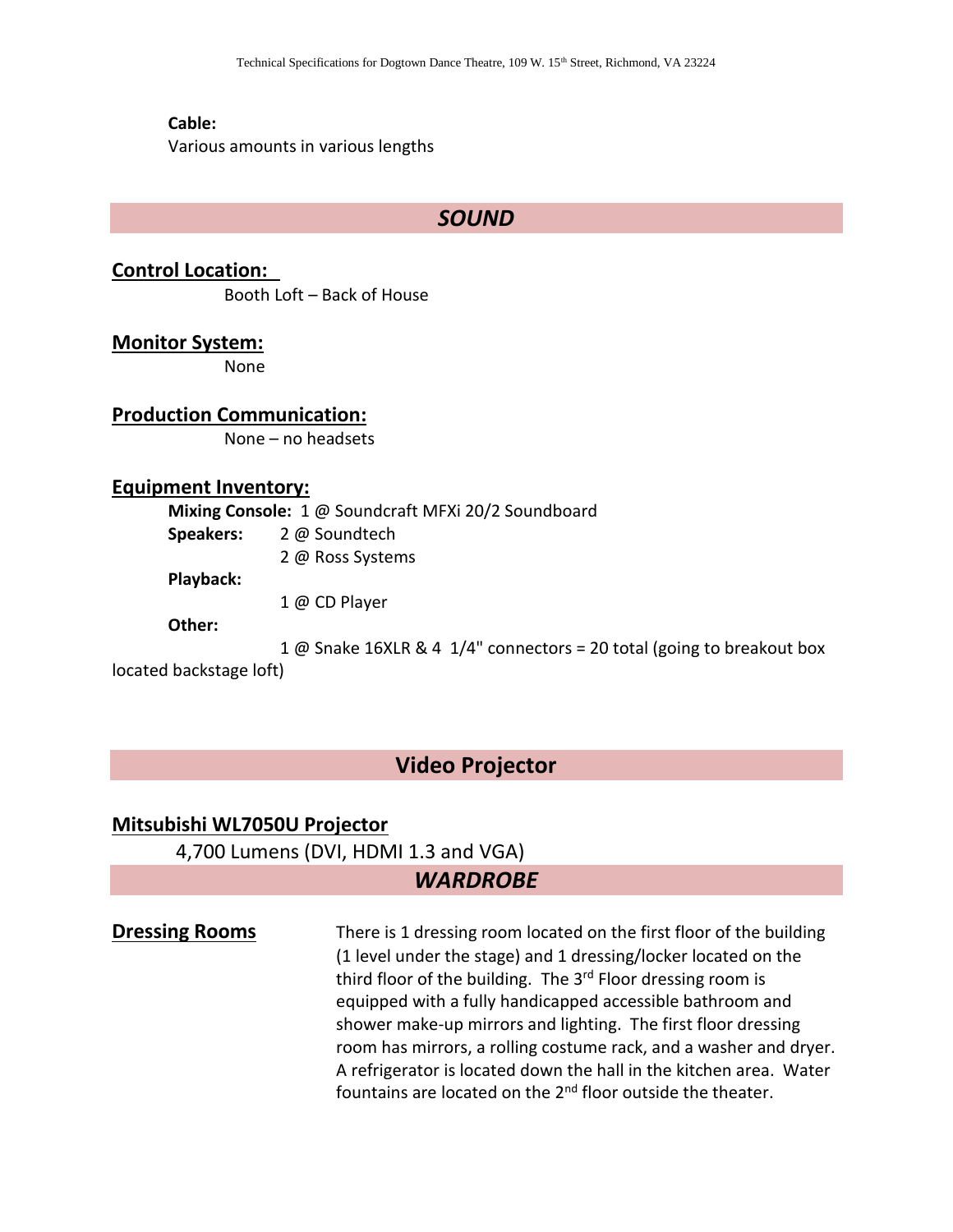#### **Cable:**

Various amounts in various lengths

#### *SOUND*

**Control Location:** Booth Loft – Back of House

**Monitor System:**

None

#### **Production Communication:**

None – no headsets

#### **Equipment Inventory:**

**Mixing Console:** 1 @ Soundcraft MFXi 20/2 Soundboard

- **Speakers:** 2 @ Soundtech
	- 2 @ Ross Systems

**Playback:** 

1 @ CD Player

**Other:**

1 @ Snake 16XLR & 4 1/4" connectors = 20 total (going to breakout box

located backstage loft)

## **Video Projector**

#### **Mitsubishi WL7050U Projector**

4,700 Lumens (DVI, HDMI 1.3 and VGA)

## *WARDROBE*

**Dressing Rooms** There is 1 dressing room located on the first floor of the building (1 level under the stage) and 1 dressing/locker located on the third floor of the building. The  $3<sup>rd</sup>$  Floor dressing room is equipped with a fully handicapped accessible bathroom and shower make-up mirrors and lighting. The first floor dressing room has mirrors, a rolling costume rack, and a washer and dryer. A refrigerator is located down the hall in the kitchen area. Water fountains are located on the  $2<sup>nd</sup>$  floor outside the theater.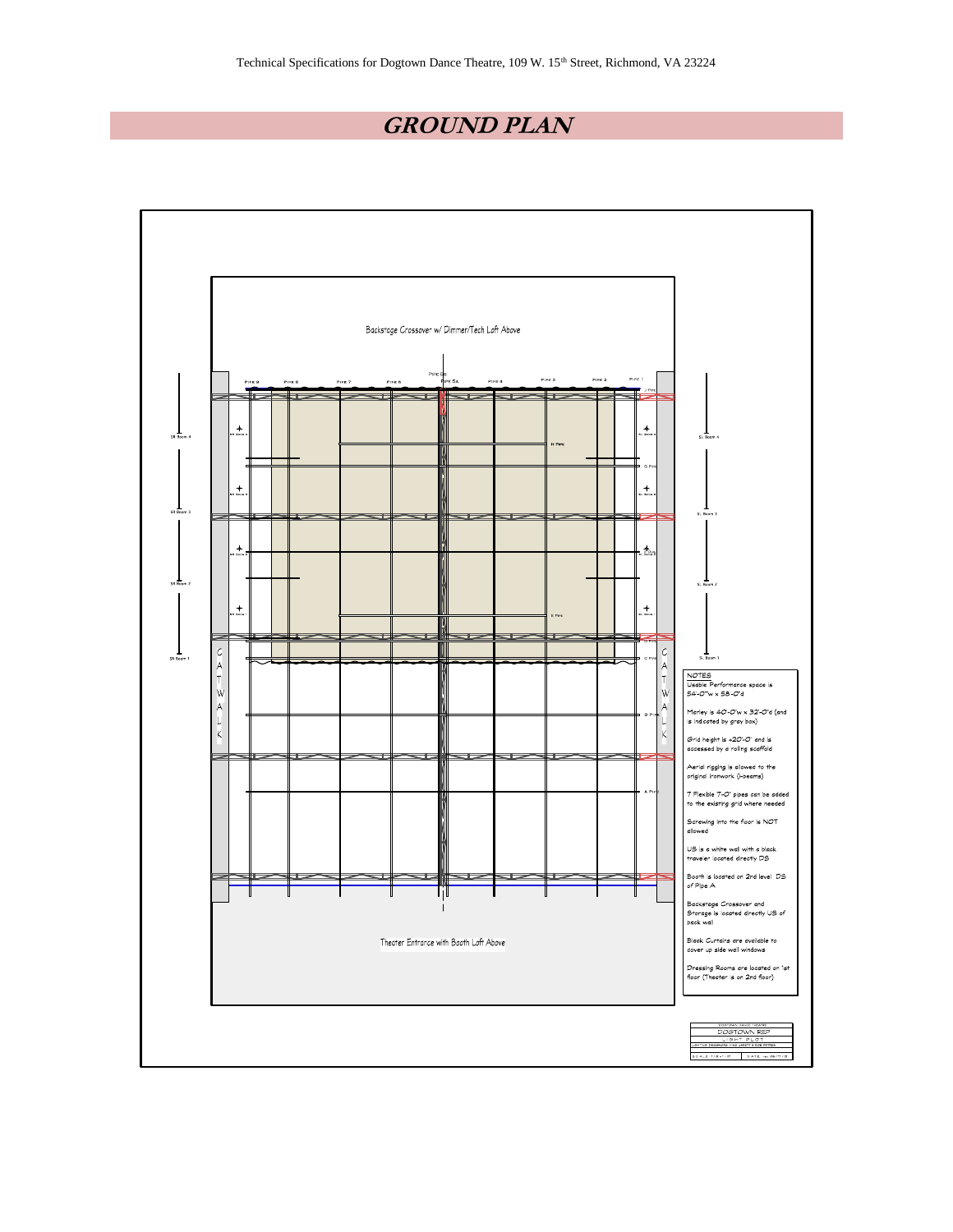# **GROUND PLAN**

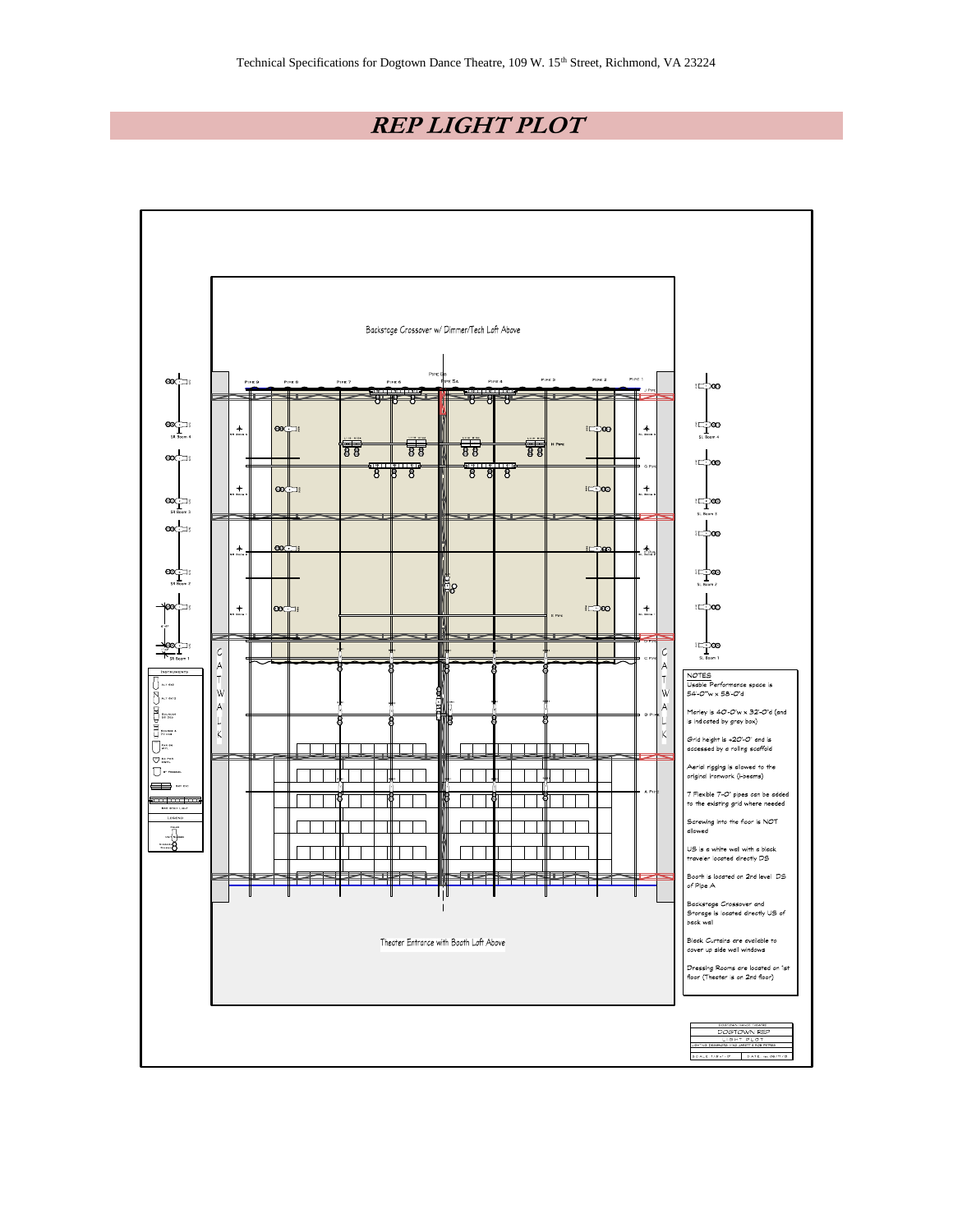# **REP LIGHT PLOT**